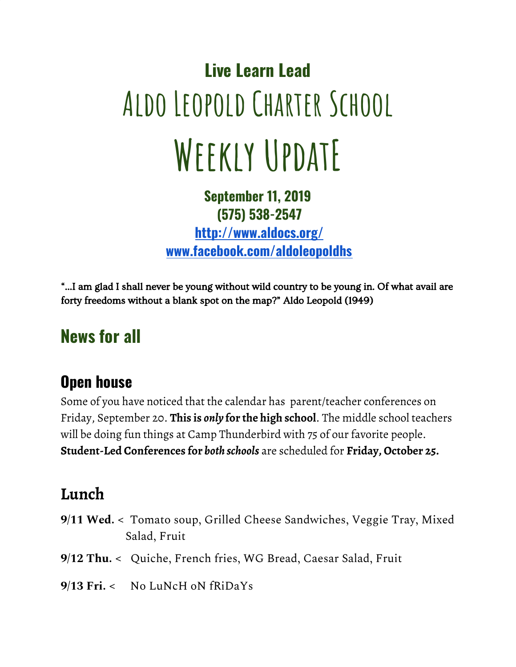# **Live Learn Lead Aldo Leopold Charter School Weekly UpdatE**

#### **September 11, 2019 (575) 538-2547**

**<http://www.aldocs.org/> [www.facebook.com/aldoleopoldhs](http://www.facebook.com/aldoleopoldh)**

"…I am glad I shall never be young without wild country to be young in. Of what avail are forty freedoms without a blank spot on the map?" Aldo Leopold (1949)

## **News for all**

#### **Open house**

Some of you have noticed that the calendar has parent/teacher conferences on Friday, September 20. **This is** *only* **for the high school**. The middle school teachers will be doing fun things at Camp Thunderbird with 75 of our favorite people. **Student-Led Conferences for** *both schools* are scheduled for **Friday, October 25.**

#### **Lunch**

- **9/11 Wed. <** Tomato soup, Grilled Cheese Sandwiches, Veggie Tray, Mixed Salad, Fruit
- **9/12 Thu. <** Quiche, French fries, WG Bread, Caesar Salad, Fruit
- **9/13 Fri. <** No LuNcH oN fRiDaYs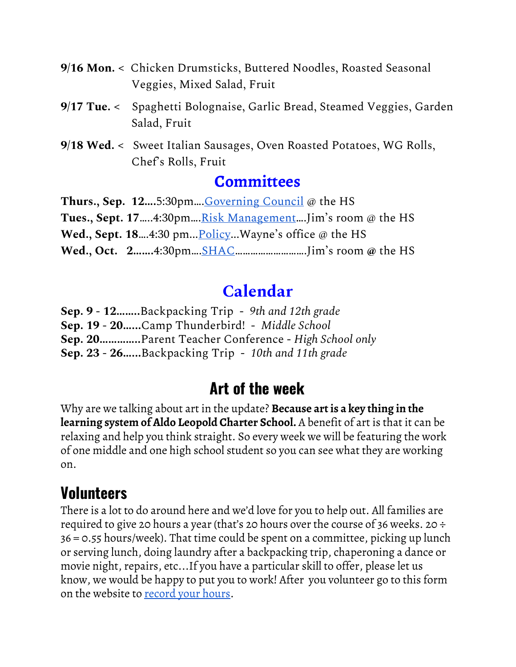- **9/16 Mon. <** Chicken Drumsticks, Buttered Noodles, Roasted Seasonal Veggies, Mixed Salad, Fruit
- **9/17 Tue. <** Spaghetti Bolognaise, Garlic Bread, Steamed Veggies, Garden Salad, Fruit
- **9/18 Wed. <** Sweet Italian Sausages, Oven Roasted Potatoes, WG Rolls, Chef's Rolls, Fruit

#### **[Committees](https://www.aldocs.org/committee-overview.html)**

**Thurs., Sep. 12….**5:30pm…[.Governing](https://www.aldocs.org/about-the-alcs-governing-council.html) Council @ the HS **Tues., Sept.** 17.....4:30pm....<u>Risk [Management](https://www.aldocs.org/risk-management.html)</u>....Jim's room @ the HS **Wed., Sept. 18**….4:30 pm...[Policy.](https://www.aldocs.org/policy.html)..Wayne's office @ the HS **Wed., Oct. 2…….**4:30pm…[.SHAC…](https://www.aldocs.org/risk-management.html)…………………….Jim's room **@** the HS

#### **[Calendar](https://www.aldocs.org/calendar.html)**

**Sep. 9 - 12……..**Backpacking Trip **-** *9th and 12th grade* **Sep. 19 - 20…...**Camp Thunderbird! **-** *Middle School* **Sep. 20…………..**Parent Teacher Conference - *High School only* **Sep. 23 - 26…...**Backpacking Trip - *10th and 11th grade*

#### **Art of the week**

Why are we talking about art in the update? **Because art is a key thing in the learning system of Aldo Leopold Charter School.** A benefit of art is that it can be relaxing and help you think straight. So every week we will be featuring the work of one middle and one high school student so you can see what they are working on.

#### **Volunteers**

There is a lot to do around here and we'd love for you to help out. All families are required to give 20 hours a year (that's 20 hours over the course of 36 weeks. 20  $\div$ 36 = 0.55 hours/week). That time could be spent on a committee, picking up lunch or serving lunch, doing laundry after a backpacking trip, chaperoning a dance or movie night, repairs, etc...If you have a particular skill to offer, please let us know, we would be happy to put you to work! After you volunteer go to this form on the website to [record](https://docs.google.com/forms/d/e/1FAIpQLSckISyev_xH8RnXGtwqaGEEfcrDL7BJAlsqttK-QqzBdTIf4w/viewform) your hours.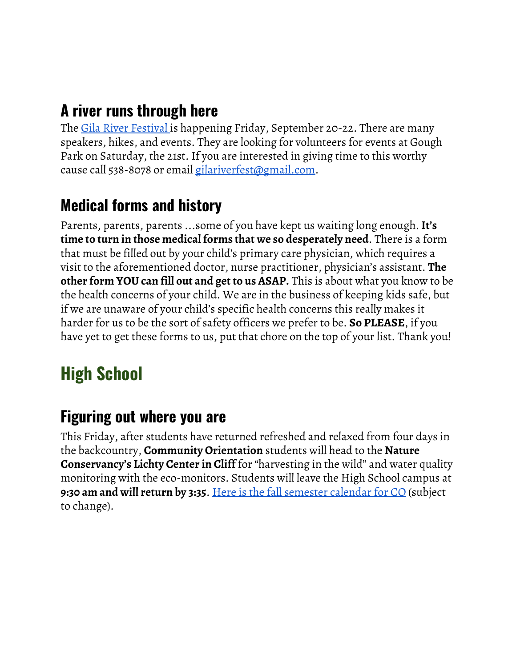#### **A river runs through here**

The <u>Gila River [Festival](https://www.gilariverfestival.org/)</u> is happening Friday, September 20-22. There are many speakers, hikes, and events. They are looking for volunteers for events at Gough Park on Saturday, the 21st. If you are interested in giving time to this worthy cause call 538-8078 or email [gilariverfest@gmail.com](mailto:gilariverfest@gmail.com).

#### **Medical forms and history**

Parents, parents, parents ...some of you have kept us waiting long enough.**It's time to turn in those medical forms that we so desperately need**. There is a form that must be filled out by your child's primary care physician, which requires a visit to the aforementioned doctor, nurse practitioner, physician's assistant. **The other form YOU can fill out and get to us ASAP.** This is about what you know to be the health concerns of your child. We are in the business of keeping kids safe, but if we are unaware of your child's specific health concerns this really makes it harder for us to be the sort of safety officers we prefer to be. **So PLEASE**, if you have yet to get these forms to us, put that chore on the top of your list. Thank you!

## **High School**

#### **Figuring out where you are**

This Friday, after students have returned refreshed and relaxed from four days in the backcountry, **Community Orientation** students will head to the **Nature Conservancy's Lichty Center in Cliff** for "harvesting in the wild" and water quality monitoring with the eco-monitors. Students will leave the High School campus at **9:30 am and will return by 3:35**. Here is the fall [semester](https://www.aldocs.org/uploads/1/1/5/7/115705285/letter_finding_your_way_co.pdf#page=3) calendar for CO (subject to change).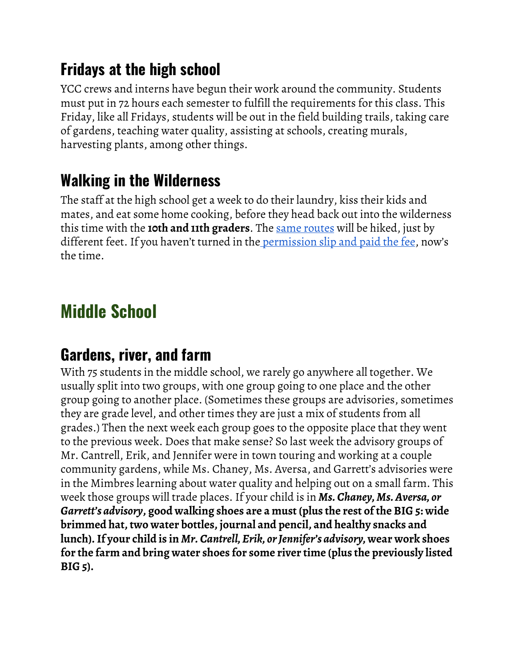#### **Fridays at the high school**

YCC crews and interns have begun their work around the community. Students must put in 72 hours each semester to fulfill the requirements for this class. This Friday, like all Fridays, students will be out in the field building trails, taking care of gardens, teaching water quality, assisting at schools, creating murals, harvesting plants, among other things.

## **Walking in the Wilderness**

The staff at the high school get a week to do their laundry, kiss their kids and mates, and eat some home cooking, before they head back out into the wilderness this time with the **10th and 11th graders**. The same [routes](https://www.aldocs.org/uploads/1/1/5/7/115705285/2019_aldo_leopold_charter_school_-_back_pack_routes___itineraries_.pdf) will be hiked, just by different feet. If you haven't turned in the [permission](https://www.aldocs.org/uploads/1/1/5/7/115705285/2019_back-pack_letter_home.pdf) slip and paid the fee, now's the time.

# **Middle School**

#### **Gardens, river, and farm**

With 75 students in the middle school, we rarely go anywhere all together. We usually split into two groups, with one group going to one place and the other group going to another place. (Sometimes these groups are advisories, sometimes they are grade level, and other times they are just a mix of students from all grades.) Then the next week each group goes to the opposite place that they went to the previous week. Does that make sense? So last week the advisory groups of Mr. Cantrell, Erik, and Jennifer were in town touring and working at a couple community gardens, while Ms. Chaney, Ms. Aversa, and Garrett's advisories were in the Mimbres learning about water quality and helping out on a small farm. This week those groups will trade places. If your child is in *Ms. Chaney, Ms.Aversa, or Garrett's advisory***, good walking shoes are a must (plus the rest of the BIG 5: wide brimmed hat, two water bottles, journal and pencil, and healthy snacks and lunch).If your child is in** *Mr. Cantrell, Erik, orJennifer's advisory,* **wear work shoes for the farm and bring water shoes for some river time (plus the previously listed BIG 5).**